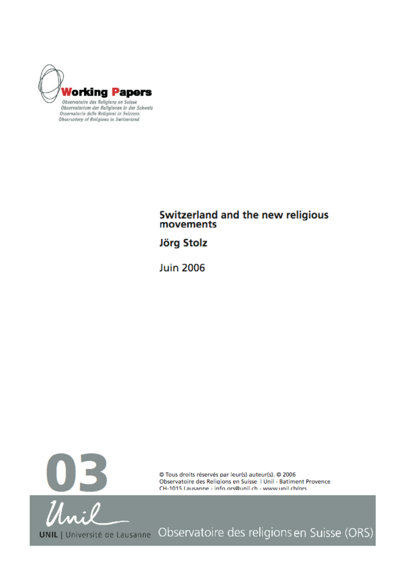

Observatory of Religions in Switzerland

# Switzerland and the new religious<br>movements

**Jörg Stolz** 

**Juin 2006** 



© Tous droits réservés par leur(s) auteur(s). © 2006 Observatoire des Religions en Suisse | Unil - Batiment Provence CH-1015 Lausanne - info.ors@unil.ch - www.unil.ch/ors

UNIL | Université de Lausanne Observatoire des religions en Suisse (ORS)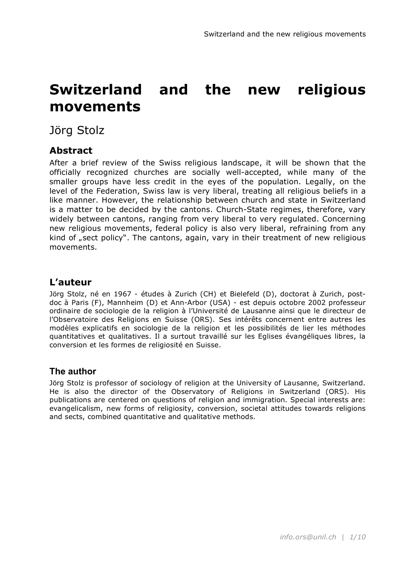# **Switzerland and the new religious movements**

Jörg Stolz

# **Abstract**

After a brief review of the Swiss religious landscape, it will be shown that the officially recognized churches are socially well-accepted, while many of the smaller groups have less credit in the eyes of the population. Legally, on the level of the Federation, Swiss law is very liberal, treating all religious beliefs in a like manner. However, the relationship between church and state in Switzerland is a matter to be decided by the cantons. Church-State regimes, therefore, vary widely between cantons, ranging from very liberal to very regulated. Concerning new religious movements, federal policy is also very liberal, refraining from any kind of "sect policy". The cantons, again, vary in their treatment of new religious movements.

# **L'auteur**

Jörg Stolz, né en 1967 - études à Zurich (CH) et Bielefeld (D), doctorat à Zurich, postdoc à Paris (F), Mannheim (D) et Ann-Arbor (USA) - est depuis octobre 2002 professeur ordinaire de sociologie de la religion à l'Université de Lausanne ainsi que le directeur de l'Observatoire des Religions en Suisse (ORS). Ses intérêts concernent entre autres les modèles explicatifs en sociologie de la religion et les possibilités de lier les méthodes quantitatives et qualitatives. Il a surtout travaillé sur les Eglises évangéliques libres, la conversion et les formes de religiosité en Suisse.

### **The author**

Jörg Stolz is professor of sociology of religion at the University of Lausanne, Switzerland. He is also the director of the Observatory of Religions in Switzerland (ORS). His publications are centered on questions of religion and immigration. Special interests are: evangelicalism, new forms of religiosity, conversion, societal attitudes towards religions and sects, combined quantitative and qualitative methods.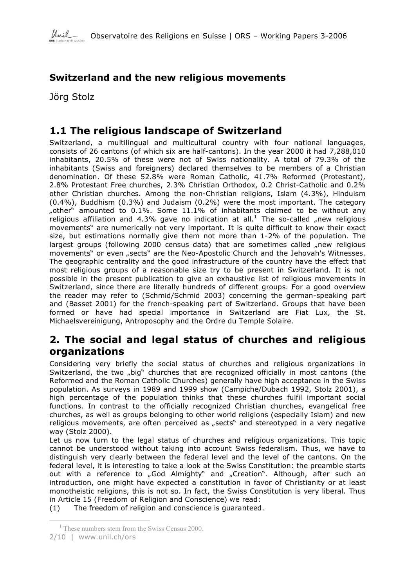

# **Switzerland and the new religious movements**

Jörg Stolz

# **1.1 The religious landscape of Switzerland**

Switzerland, a multilingual and multicultural country with four national languages, consists of 26 cantons (of which six are half-cantons). In the year 2000 it had 7,288,010 inhabitants, 20.5% of these were not of Swiss nationality. A total of 79.3% of the inhabitants (Swiss and foreigners) declared themselves to be members of a Christian denomination. Of these 52.8% were Roman Catholic, 41.7% Reformed (Protestant), 2.8% Protestant Free churches, 2.3% Christian Orthodox, 0.2 Christ-Catholic and 0.2% other Christian churches. Among the non-Christian religions, Islam (4.3%), Hinduism (0.4%), Buddhism (0.3%) and Judaism (0.2%) were the most important. The category "other" amounted to  $0.1\%$ . Some  $11.1\%$  of inhabitants claimed to be without any religious affiliation and 4.3% gave no indication at all.<sup>1</sup> The so-called "new religious movements" are numerically not very important. It is quite difficult to know their exact size, but estimations normally give them not more than 1-2% of the population. The largest groups (following 2000 census data) that are sometimes called "new religious movements" or even "sects" are the Neo-Apostolic Church and the Jehovah's Witnesses. The geographic centrality and the good infrastructure of the country have the effect that most religious groups of a reasonable size try to be present in Switzerland. It is not possible in the present publication to give an exhaustive list of religious movements in Switzerland, since there are literally hundreds of different groups. For a good overview the reader may refer to (Schmid/Schmid 2003) concerning the german-speaking part and (Basset 2001) for the french-speaking part of Switzerland. Groups that have been formed or have had special importance in Switzerland are Fiat Lux, the St. Michaelsvereinigung, Antroposophy and the Ordre du Temple Solaire.

# **2. The social and legal status of churches and religious organizations**

Considering very briefly the social status of churches and religious organizations in Switzerland, the two "big" churches that are recognized officially in most cantons (the Reformed and the Roman Catholic Churches) generally have high acceptance in the Swiss population. As surveys in 1989 and 1999 show (Campiche/Dubach 1992, Stolz 2001), a high percentage of the population thinks that these churches fulfil important social functions. In contrast to the officially recognized Christian churches, evangelical free churches, as well as groups belonging to other world religions (especially Islam) and new religious movements, are often perceived as "sects" and stereotyped in a very negative way (Stolz 2000).

Let us now turn to the legal status of churches and religious organizations. This topic cannot be understood without taking into account Swiss federalism. Thus, we have to distinguish very clearly between the federal level and the level of the cantons. On the federal level, it is interesting to take a look at the Swiss Constitution: the preamble starts out with a reference to "God Almighty" and "Creation". Although, after such an introduction, one might have expected a constitution in favor of Christianity or at least monotheistic religions, this is not so. In fact, the Swiss Constitution is very liberal. Thus in Article 15 (Freedom of Religion and Conscience) we read:

(1) The freedom of religion and conscience is guaranteed.

 $\overline{a}$ <sup>1</sup> These numbers stem from the Swiss Census 2000.

<sup>2/10</sup> | www.unil.ch/ors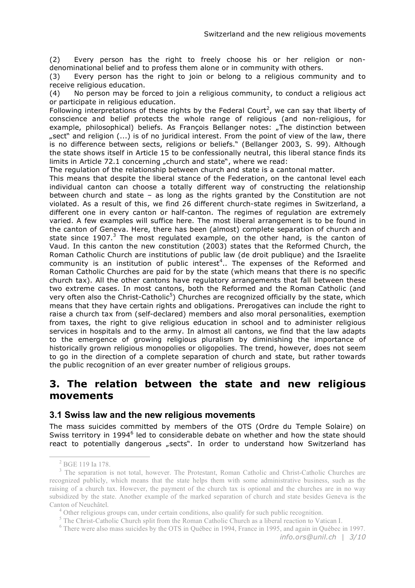(2) Every person has the right to freely choose his or her religion or nondenominational belief and to profess them alone or in community with others.

(3) Every person has the right to join or belong to a religious community and to receive religious education.

(4) No person may be forced to join a religious community, to conduct a religious act or participate in religious education.

Following interpretations of these rights by the Federal Court<sup>2</sup>, we can say that liberty of conscience and belief protects the whole range of religious (and non-religious, for example, philosophical) beliefs. As François Bellanger notes: "The distinction between "sect" and religion (...) is of no juridical interest. From the point of view of the law, there is no difference between sects, religions or beliefs." (Bellanger 2003, S. 99). Although the state shows itself in Article 15 to be confessionally neutral, this liberal stance finds its limits in Article 72.1 concerning "church and state", where we read:

The regulation of the relationship between church and state is a cantonal matter.

This means that despite the liberal stance of the Federation, on the cantonal level each individual canton can choose a totally different way of constructing the relationship between church and state – as long as the rights granted by the Constitution are not violated. As a result of this, we find 26 different church-state regimes in Switzerland, a different one in every canton or half-canton. The regimes of regulation are extremely varied. A few examples will suffice here. The most liberal arrangement is to be found in the canton of Geneva. Here, there has been (almost) complete separation of church and state since 1907.<sup>3</sup> The most regulated example, on the other hand, is the canton of Vaud. In this canton the new constitution (2003) states that the Reformed Church, the Roman Catholic Church are institutions of public law (de droit publique) and the Israelite community is an institution of public interest<sup>4</sup>.. The expenses of the Reformed and Roman Catholic Churches are paid for by the state (which means that there is no specific church tax). All the other cantons have regulatory arrangements that fall between these two extreme cases. In most cantons, both the Reformed and the Roman Catholic (and very often also the Christ-Catholic<sup>5</sup>) Churches are recognized officially by the state, which means that they have certain rights and obligations. Prerogatives can include the right to raise a church tax from (self-declared) members and also moral personalities, exemption from taxes, the right to give religious education in school and to administer religious services in hospitals and to the army. In almost all cantons, we find that the law adapts to the emergence of growing religious pluralism by diminishing the importance of historically grown religious monopolies or oligopolies. The trend, however, does not seem to go in the direction of a complete separation of church and state, but rather towards the public recognition of an ever greater number of religious groups.

# **3. The relation between the state and new religious movements**

#### **3.1 Swiss law and the new religious movements**

The mass suicides committed by members of the OTS (Ordre du Temple Solaire) on Swiss territory in 1994<sup>6</sup> led to considerable debate on whether and how the state should react to potentially dangerous "sects". In order to understand how Switzerland has

 $\frac{2}{3}$  BGE 119 Ia 178.<br> $\frac{3}{3}$  The separation is not total, however. The Protestant, Roman Catholic and Christ-Catholic Churches are recognized publicly, which means that the state helps them with some administrative business, such as the raising of a church tax. However, the payment of the church tax is optional and the churches are in no way subsidized by the state. Another example of the marked separation of church and state besides Geneva is the Canton of Neuchâtel.<br>
<sup>4</sup> Other religious groups can, under certain conditions, also qualify for such public recognition.<br>
<sup>5</sup> The Christ-Catholic Church split from the Roman Catholic Church as a liberal reaction to Vatica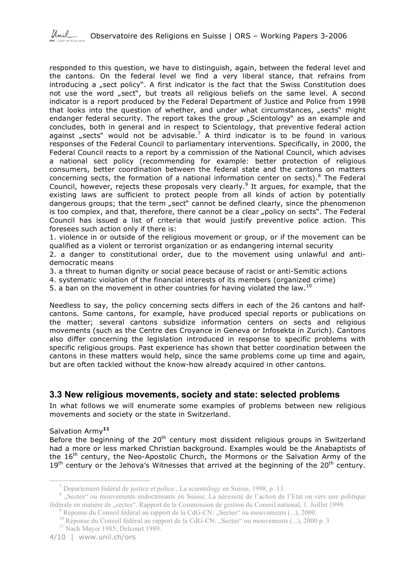responded to this question, we have to distinguish, again, between the federal level and the cantons. On the federal level we find a very liberal stance, that refrains from introducing a  $<sub>n</sub>$  sect policy". A first indicator is the fact that the Swiss Constitution does</sub> not use the word "sect", but treats all religious beliefs on the same level. A second indicator is a report produced by the Federal Department of Justice and Police from 1998 that looks into the question of whether, and under what circumstances, "sects" might endanger federal security. The report takes the group "Scientology" as an example and concludes, both in general and in respect to Scientology, that preventive federal action against "sects" would not be advisable.<sup>7</sup> A third indicator is to be found in various responses of the Federal Council to parliamentary interventions. Specifically, in 2000, the Federal Council reacts to a report by a commission of the National Council, which advises a national sect policy (recommending for example: better protection of religious consumers, better coordination between the federal state and the cantons on matters concerning sects, the formation of a national information center on sects).<sup>8</sup> The Federal Council, however, rejects these proposals very clearly.<sup>9</sup> It argues, for example, that the existing laws are sufficient to protect people from all kinds of action by potentially dangerous groups; that the term "sect" cannot be defined clearly, since the phenomenon is too complex, and that, therefore, there cannot be a clear "policy on sects". The Federal Council has issued a list of criteria that would justify preventive police action. This foresees such action only if there is:

1. violence in or outside of the religious movement or group, or if the movement can be qualified as a violent or terrorist organization or as endangering internal security

2. a danger to constitutional order, due to the movement using unlawful and antidemocratic means

3. a threat to human dignity or social peace because of racist or anti-Semitic actions

4. systematic violation of the financial interests of its members (organized crime)

5. a ban on the movement in other countries for having violated the law.  $^{10}$ 

Needless to say, the policy concerning sects differs in each of the 26 cantons and halfcantons. Some cantons, for example, have produced special reports or publications on the matter; several cantons subsidize information centers on sects and religious movements (such as the Centre des Croyance in Geneva or Infosekta in Zurich). Cantons also differ concerning the legislation introduced in response to specific problems with specific religious groups. Past experience has shown that better coordination between the cantons in these matters would help, since the same problems come up time and again, but are often tackled without the know-how already acquired in other cantons.

#### **3.3 New religious movements, society and state: selected problems**

In what follows we will enumerate some examples of problems between new religious movements and society or the state in Switzerland.

#### Salvation Army**<sup>11</sup>**

Before the beginning of the  $20<sup>th</sup>$  century most dissident religious groups in Switzerland had a more or less marked Christian background. Examples would be the Anabaptists of the 16<sup>th</sup> century, the Neo-Apostolic Church, the Mormons or the Salvation Army of the  $19<sup>th</sup>$  century or the Jehova's Witnesses that arrived at the beginning of the  $20<sup>th</sup>$  century.

<sup>&</sup>lt;sup>7</sup> Departement fédéral de justice et police , La scientology en Suisse, 1998, p. 13.<br><sup>8</sup> "Sectes" ou mouvements endoctrinants en Suisse. La nécessité de l'action de l'Etat ou vers une politique fédérale en matière de "sectes". Rapport de la Commission de gestion du Conseil national, 1. Juillet 1999.<br><sup>9</sup> Réponse du Conseil fédéral au rapport de la CdG-CN: "Sectes" ou mouvements (...), 2000.<br><sup>10</sup> Réponse du Conseil

<sup>4/10</sup> | www.unil.ch/ors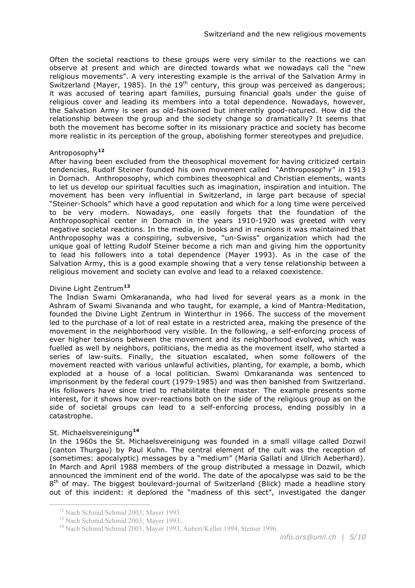Often the societal reactions to these groups were very similar to the reactions we can observe at present and which are directed towards what we nowadays call the "new religious movements". A very interesting example is the arrival of the Salvation Army in Switzerland (Mayer, 1985). In the  $19<sup>th</sup>$  century, this group was perceived as dangerous; it was accused of tearing apart families, pursuing financial goals under the guise of religious cover and leading its members into a total dependence. Nowadays, however, the Salvation Army is seen as old-fashioned but inherently good-natured. How did the relationship between the group and the society change so dramatically? It seems that both the movement has become softer in its missionary practice and society has become more realistic in its perception of the group, abolishing former stereotypes and prejudice.

#### Antroposophy**<sup>12</sup>**

After having been excluded from the theosophical movement for having criticized certain tendencies, Rudolf Steiner founded his own movement called "Anthroposophy" in 1913 in Dornach. Anthroposophy, which combines theosophical and Christian elements, wants to let us develop our spiritual faculties such as imagination, inspiration and intuition. The movement has been very influential in Switzerland, in large part because of special "Steiner-Schools" which have a good reputation and which for a long time were perceived to be very modern. Nowadays, one easily forgets that the foundation of the Anthroposophical center in Dornach in the years 1910-1920 was greeted with very negative societal reactions. In the media, in books and in reunions it was maintained that Anthroposophy was a conspiring, subversive, "un-Swiss" organization which had the unique goal of letting Rudolf Steiner become a rich man and giving him the opportunity to lead his followers into a total dependence (Mayer 1993). As in the case of the Salvation Army, this is a good example showing that a very tense relationship between a religious movement and society can evolve and lead to a relaxed coexistence.

#### Divine Light Zentrum**<sup>13</sup>**

The Indian Swami Omkarananda, who had lived for several years as a monk in the Ashram of Swami Sivananda and who taught, for example, a kind of Mantra-Meditation, founded the Divine Light Zentrum in Winterthur in 1966. The success of the movement led to the purchase of a lot of real estate in a restricted area, making the presence of the movement in the neighborhood very visible. In the following, a self-enforcing process of ever higher tensions between the movement and its neighborhood evolved, which was fuelled as well by neighbors, politicians, the media as the movement itself, who started a series of law-suits. Finally, the situation escalated, when some followers of the movement reacted with various unlawful activities, planting, for example, a bomb, which exploded at a house of a local politician. Swami Omkarananda was sentenced to imprisonment by the federal court (1979-1985) and was then banished from Switzerland. His followers have since tried to rehabilitate their master. The example presents some interest, for it shows how over-reactions both on the side of the religious group as on the side of societal groups can lead to a self-enforcing process, ending possibly in a catastrophe.

#### St. Michaelsvereinigung**<sup>14</sup>**

 $\overline{a}$ 

In the 1960s the St. Michaelsvereinigung was founded in a small village called Dozwil (canton Thurgau) by Paul Kuhn. The central element of the cult was the reception of (sometimes: apocalyptic) messages by a "medium" (Maria Gallati and Ulrich Aeberhard). In March and April 1988 members of the group distributed a message in Dozwil, which announced the imminent end of the world. The date of the apocalypse was said to be the  $8<sup>th</sup>$  of may. The biggest boulevard-journal of Switzerland (Blick) made a headline story out of this incident: it deplored the "madness of this sect", investigated the danger

<sup>&</sup>lt;sup>12</sup> Nach Schmid/Schmid 2003; Mayer 1993.<br><sup>13</sup> Nach Schmid/Schmid 2003; Mayer 1993;.<br><sup>14</sup> Nach Schmid/Schmid 2003, Mayer 1993, Aubert/Keller 1994, Steiner 1996.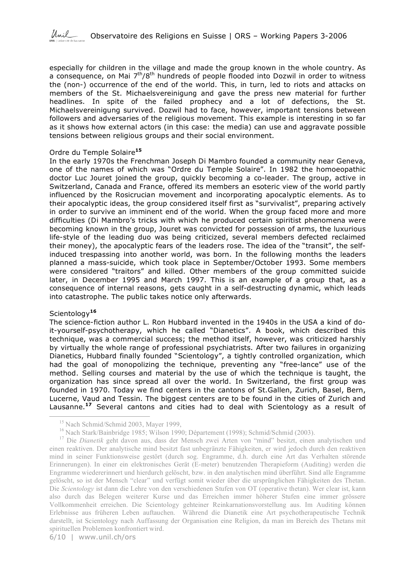

especially for children in the village and made the group known in the whole country. As a consequence, on Mai 7<sup>th</sup>/8<sup>th</sup> hundreds of people flooded into Dozwil in order to witness the (non-) occurrence of the end of the world. This, in turn, led to riots and attacks on members of the St. Michaelsvereinigung and gave the press new material for further headlines. In spite of the failed prophecy and a lot of defections, the St. Michaelsvereinigung survived. Dozwil had to face, however, important tensions between followers and adversaries of the religious movement. This example is interesting in so far as it shows how external actors (in this case: the media) can use and aggravate possible tensions between religious groups and their social environment.

#### Ordre du Temple Solaire**<sup>15</sup>**

In the early 1970s the Frenchman Joseph Di Mambro founded a community near Geneva, one of the names of which was "Ordre du Temple Solaire". In 1982 the homoeopathic doctor Luc Jouret joined the group, quickly becoming a co-leader. The group, active in Switzerland, Canada and France, offered its members an esoteric view of the world partly influenced by the Rosicrucian movement and incorporating apocalyptic elements. As to their apocalyptic ideas, the group considered itself first as "survivalist", preparing actively in order to survive an imminent end of the world. When the group faced more and more difficulties (Di Mambro's tricks with which he produced certain spiritist phenomena were becoming known in the group, Jouret was convicted for possession of arms, the luxurious life-style of the leading duo was being criticized, several members defected reclaimed their money), the apocalyptic fears of the leaders rose. The idea of the "transit", the selfinduced trespassing into another world, was born. In the following months the leaders planned a mass-suicide, which took place in September/October 1993. Some members were considered "traitors" and killed. Other members of the group committed suicide later, in December 1995 and March 1997. This is an example of a group that, as a consequence of internal reasons, gets caught in a self-destructing dynamic, which leads into catastrophe. The public takes notice only afterwards.

#### Scientology**<sup>16</sup>**

 $\overline{a}$ 

The science-fiction author L. Ron Hubbard invented in the 1940s in the USA a kind of doit-yourself-psychotherapy, which he called "Dianetics". A book, which described this technique, was a commercial success; the method itself, however, was criticized harshly by virtually the whole range of professional psychiatrists. After two failures in organizing Dianetics, Hubbard finally founded "Scientology", a tightly controlled organization, which had the goal of monopolizing the technique, preventing any "free-lance" use of the method. Selling courses and material by the use of which the technique is taught, the organization has since spread all over the world. In Switzerland, the first group was founded in 1970. Today we find centers in the cantons of St.Gallen, Zurich, Basel, Bern, Lucerne, Vaud and Tessin. The biggest centers are to be found in the cities of Zurich and Lausanne. **<sup>17</sup>** Several cantons and cities had to deal with Scientology as a result of

<sup>&</sup>lt;sup>15</sup> Nach Schmid/Schmid 2003, Mayer 1999,<br><sup>16</sup> Nach Stark/Bainbridge 1985; Wilson 1990; Département (1998); Schmid/Schmid (2003).<br><sup>17</sup> Die *Dianetik* geht davon aus, dass der Mensch zwei Arten von "mind" besitzt, einen an

einen reaktiven. Der analytische mind besitzt fast unbegränzte Fähigkeiten, er wird jedoch durch den reaktiven mind in seiner Funktionsweise gestört (durch sog. Engramme, d.h. durch eine Art das Verhalten störende Erinnerungen). In einer ein elektronisches Gerät (E-meter) benutzenden Therapieform (Auditing) werden die Engramme wiedererinnert und hierdurch gelöscht, bzw. in den analytischen mind überführt. Sind alle Engramme gelöscht, so ist der Mensch "clear" und verfügt somit wieder über die ursprünglichen Fähigkeiten des Thetan. Die *Scientology* ist dann die Lehre von den verschiedenen Stufen von OT (operative thetan). Wer clear ist, kann also durch das Belegen weiterer Kurse und das Erreichen immer höherer Stufen eine immer grössere Vollkommenheit erreichen. Die Scientology gehteiner Reinkarnationsvorstellung aus. Im Auditing können Erlebnisse aus früheren Leben auftauchen. Während die Dianetik eine Art psychotherapeutische Technik darstellt, ist Scientology nach Auffassung der Organisation eine Religion, da man im Bereich des Thetans mit spirituellen Problemen konfrontiert wird.

<sup>6/10</sup> | www.unil.ch/ors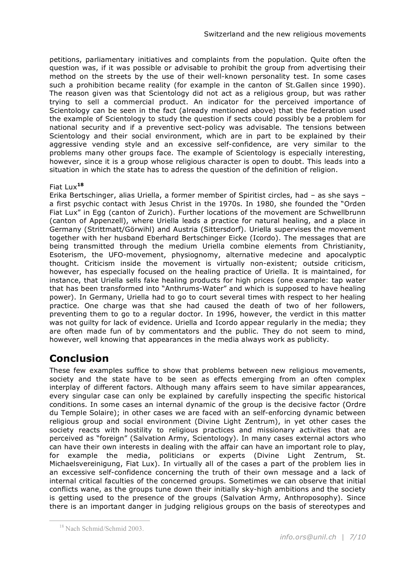petitions, parliamentary initiatives and complaints from the population. Quite often the question was, if it was possible or advisable to prohibit the group from advertising their method on the streets by the use of their well-known personality test. In some cases such a prohibition became reality (for example in the canton of St.Gallen since 1990). The reason given was that Scientology did not act as a religious group, but was rather trying to sell a commercial product. An indicator for the perceived importance of Scientology can be seen in the fact (already mentioned above) that the federation used the example of Scientology to study the question if sects could possibly be a problem for national security and if a preventive sect-policy was advisable. The tensions between Scientology and their social environment, which are in part to be explained by their aggressive vending style and an excessive self-confidence, are very similar to the problems many other groups face. The example of Scientology is especially interesting, however, since it is a group whose religious character is open to doubt. This leads into a situation in which the state has to adress the question of the definition of religion.

#### Fiat Lux**<sup>18</sup>**

Erika Bertschinger, alias Uriella, a former member of Spiritist circles, had – as she says – a first psychic contact with Jesus Christ in the 1970s. In 1980, she founded the "Orden Fiat Lux" in Egg (canton of Zurich). Further locations of the movement are Schwellbrunn (canton of Appenzell), where Uriella leads a practice for natural healing, and a place in Germany (Strittmatt/Görwihl) and Austria (Sittersdorf). Uriella supervises the movement together with her husband Eberhard Bertschinger Eicke (Icordo). The messages that are being transmitted through the medium Uriella combine elements from Christianity, Esoterism, the UFO-movement, physiognomy, alternative medecine and apocalyptic thought. Criticism inside the movement is virtually non-existent; outside criticism, however, has especially focused on the healing practice of Uriella. It is maintained, for instance, that Uriella sells fake healing products for high prices (one example: tap water that has been transformed into "Anthrums-Water" and which is supposed to have healing power). In Germany, Uriella had to go to court several times with respect to her healing practice. One charge was that she had caused the death of two of her followers, preventing them to go to a regular doctor. In 1996, however, the verdict in this matter was not guilty for lack of evidence. Uriella and Icordo appear regularly in the media; they are often made fun of by commentators and the public. They do not seem to mind, however, well knowing that appearances in the media always work as publicity.

# **Conclusion**

These few examples suffice to show that problems between new religious movements, society and the state have to be seen as effects emerging from an often complex interplay of different factors. Although many affairs seem to have similar appearances, every singular case can only be explained by carefully inspecting the specific historical conditions. In some cases an internal dynamic of the group is the decisive factor (Ordre du Temple Solaire); in other cases we are faced with an self-enforcing dynamic between religious group and social environment (Divine Light Zentrum), in yet other cases the society reacts with hostility to religious practices and missionary activities that are perceived as "foreign" (Salvation Army, Scientology). In many cases external actors who can have their own interests in dealing with the affair can have an important role to play, for example the media, politicians or experts (Divine Light Zentrum, St. Michaelsvereinigung, Fiat Lux). In virtually all of the cases a part of the problem lies in an excessive self-confidence concerning the truth of their own message and a lack of internal critical faculties of the concerned groups. Sometimes we can observe that initial conflicts wane, as the groups tune down their initially sky-high ambitions and the society is getting used to the presence of the groups (Salvation Army, Anthroposophy). Since there is an important danger in judging religious groups on the basis of stereotypes and

 $\overline{a}$ 

<sup>18</sup> Nach Schmid/Schmid 2003.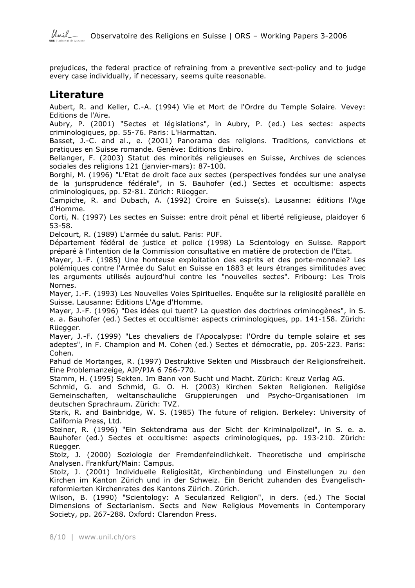prejudices, the federal practice of refraining from a preventive sect-policy and to judge every case individually, if necessary, seems quite reasonable.

# **Literature**

Aubert, R. and Keller, C.-A. (1994) Vie et Mort de l'Ordre du Temple Solaire. Vevey: Editions de l'Aire.

Aubry, P. (2001) "Sectes et législations", in Aubry, P. (ed.) Les sectes: aspects criminologiques, pp. 55-76. Paris: L'Harmattan.

Basset, J.-C. and al., e. (2001) Panorama des religions. Traditions, convictions et pratiques en Suisse romande. Genève: Editions Enbiro.

Bellanger, F. (2003) Statut des minorités religieuses en Suisse, Archives de sciences sociales des religions 121 (janvier-mars): 87-100.

Borghi, M. (1996) "L'Etat de droit face aux sectes (perspectives fondées sur une analyse de la jurisprudence fédérale", in S. Bauhofer (ed.) Sectes et occultisme: aspects criminologiques, pp. 52-81. Zürich: Rüegger.

Campiche, R. and Dubach, A. (1992) Croire en Suisse(s). Lausanne: éditions l'Age d'Homme.

Corti, N. (1997) Les sectes en Suisse: entre droit pénal et liberté religieuse, plaidoyer 6 53-58.

Delcourt, R. (1989) L'armée du salut. Paris: PUF.

Département fédéral de justice et police (1998) La Scientology en Suisse. Rapport préparé à l'intention de la Commission consultative en matière de protection de l'Etat.

Mayer, J.-F. (1985) Une honteuse exploitation des esprits et des porte-monnaie? Les polémiques contre l'Armée du Salut en Suisse en 1883 et leurs étranges similitudes avec les arguments utilisés aujourd'hui contre les "nouvelles sectes". Fribourg: Les Trois Nornes.

Mayer, J.-F. (1993) Les Nouvelles Voies Spirituelles. Enquête sur la religiosité parallèle en Suisse. Lausanne: Editions L'Age d'Homme.

Mayer, J.-F. (1996) "Des idées qui tuent? La question des doctrines criminogènes", in S. e. a. Bauhofer (ed.) Sectes et occultisme: aspects criminologiques, pp. 141-158. Zürich: Rüegger.

Mayer, J.-F. (1999) "Les chevaliers de l'Apocalypse: l'Ordre du temple solaire et ses adeptes", in F. Champion and M. Cohen (ed.) Sectes et démocratie, pp. 205-223. Paris: Cohen.

Pahud de Mortanges, R. (1997) Destruktive Sekten und Missbrauch der Religionsfreiheit. Eine Problemanzeige, AJP/PJA 6 766-770.

Stamm, H. (1995) Sekten. Im Bann von Sucht und Macht. Zürich: Kreuz Verlag AG.

Schmid, G. and Schmid, G. O. H. (2003) Kirchen Sekten Religionen. Religiöse Gemeinschaften, weltanschauliche Gruppierungen und Psycho-Organisationen im deutschen Sprachraum. Zürich: TVZ.

Stark, R. and Bainbridge, W. S. (1985) The future of religion. Berkeley: University of California Press, Ltd.

Steiner, R. (1996) "Ein Sektendrama aus der Sicht der Kriminalpolizei", in S. e. a. Bauhofer (ed.) Sectes et occultisme: aspects criminologiques, pp. 193-210. Zürich: Rüegger.

Stolz, J. (2000) Soziologie der Fremdenfeindlichkeit. Theoretische und empirische Analysen. Frankfurt/Main: Campus.

Stolz, J. (2001) Individuelle Religiosität, Kirchenbindung und Einstellungen zu den Kirchen im Kanton Zürich und in der Schweiz. Ein Bericht zuhanden des Evangelischreformierten Kirchenrates des Kantons Zürich. Zürich.

Wilson, B. (1990) "Scientology: A Secularized Religion", in ders. (ed.) The Social Dimensions of Sectarianism. Sects and New Religious Movements in Contemporary Society, pp. 267-288. Oxford: Clarendon Press.